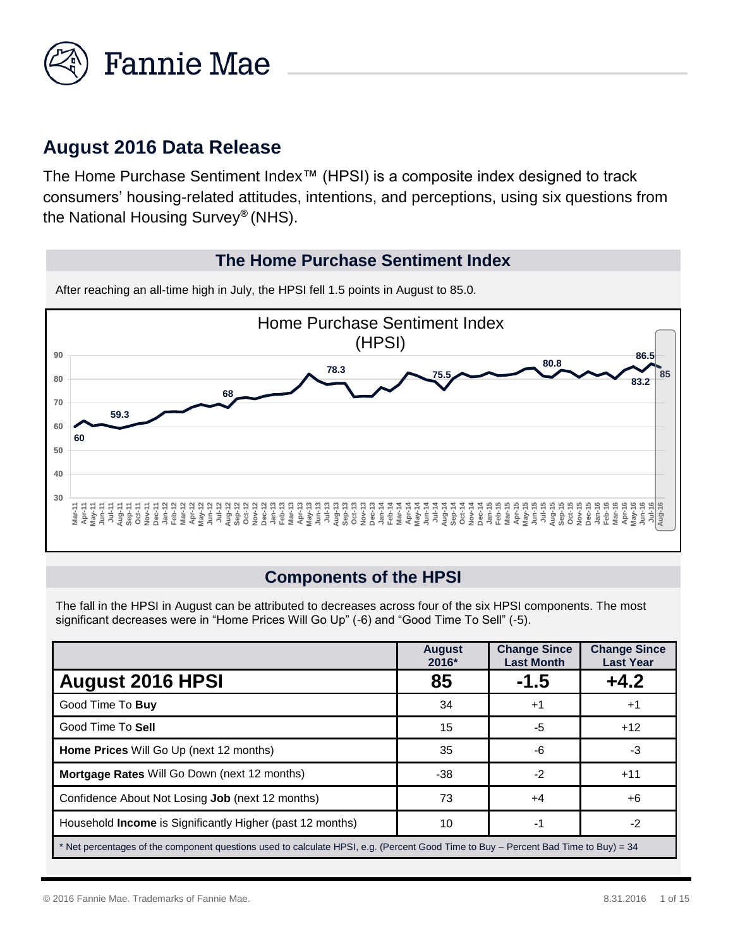

## **August 2016 Data Release**

The Home Purchase Sentiment Index™ (HPSI) is a composite index designed to track consumers' housing-related attitudes, intentions, and perceptions, using six questions from the National Housing Survey*®* (NHS).

#### **The Home Purchase Sentiment Index**



After reaching an all-time high in July, the HPSI fell 1.5 points in August to 85.0.

## **Components of the HPSI**

The fall in the HPSI in August can be attributed to decreases across four of the six HPSI components. The most significant decreases were in "Home Prices Will Go Up" (-6) and "Good Time To Sell" (-5).

|                                                                                                                                     | <b>August</b><br>2016* | <b>Change Since</b><br><b>Last Month</b> | <b>Change Since</b><br><b>Last Year</b> |
|-------------------------------------------------------------------------------------------------------------------------------------|------------------------|------------------------------------------|-----------------------------------------|
| <b>August 2016 HPSI</b>                                                                                                             | 85                     | $-1.5$                                   | $+4.2$                                  |
| Good Time To Buy                                                                                                                    | 34                     | $+1$                                     | $+1$                                    |
| Good Time To Sell                                                                                                                   | 15                     | -5                                       | $+12$                                   |
| Home Prices Will Go Up (next 12 months)                                                                                             | 35                     | -6                                       | -3                                      |
| <b>Mortgage Rates Will Go Down (next 12 months)</b>                                                                                 | -38                    | $-2$                                     | $+11$                                   |
| Confidence About Not Losing <b>Job</b> (next 12 months)                                                                             | 73                     | +4                                       | +6                                      |
| Household <b>Income</b> is Significantly Higher (past 12 months)                                                                    | 10                     | -1                                       | $-2$                                    |
| * Net percentages of the component questions used to calculate HPSI, e.g. (Percent Good Time to Buy – Percent Bad Time to Buy) = 34 |                        |                                          |                                         |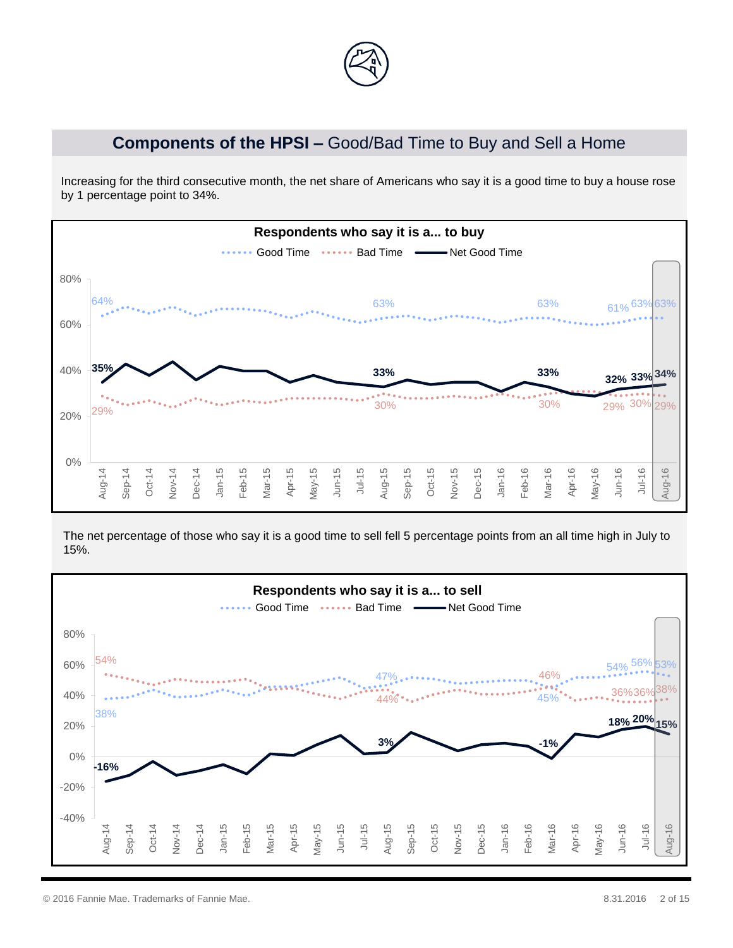

### **Components of the HPSI –** Good/Bad Time to Buy and Sell a Home

Increasing for the third consecutive month, the net share of Americans who say it is a good time to buy a house rose by 1 percentage point to 34%.



The net percentage of those who say it is a good time to sell fell 5 percentage points from an all time high in July to 15%.

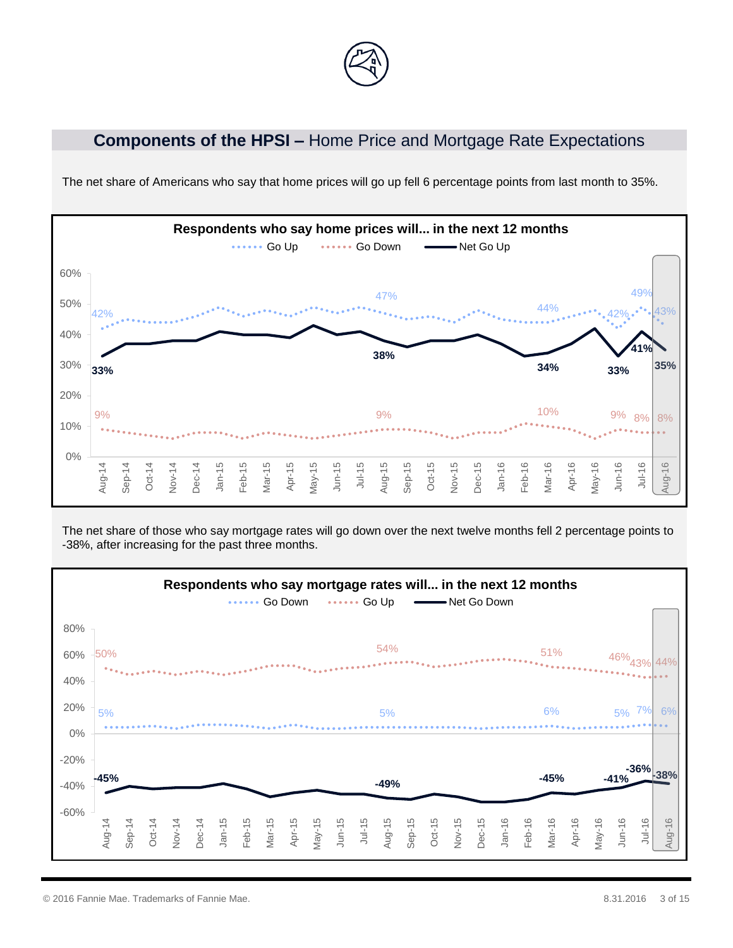

#### **Components of the HPSI –** Home Price and Mortgage Rate Expectations



The net share of Americans who say that home prices will go up fell 6 percentage points from last month to 35%.

The net share of those who say mortgage rates will go down over the next twelve months fell 2 percentage points to -38%, after increasing for the past three months.



© 2016 Fannie Mae. Trademarks of Fannie Mae. 8.31.2016 3 of 15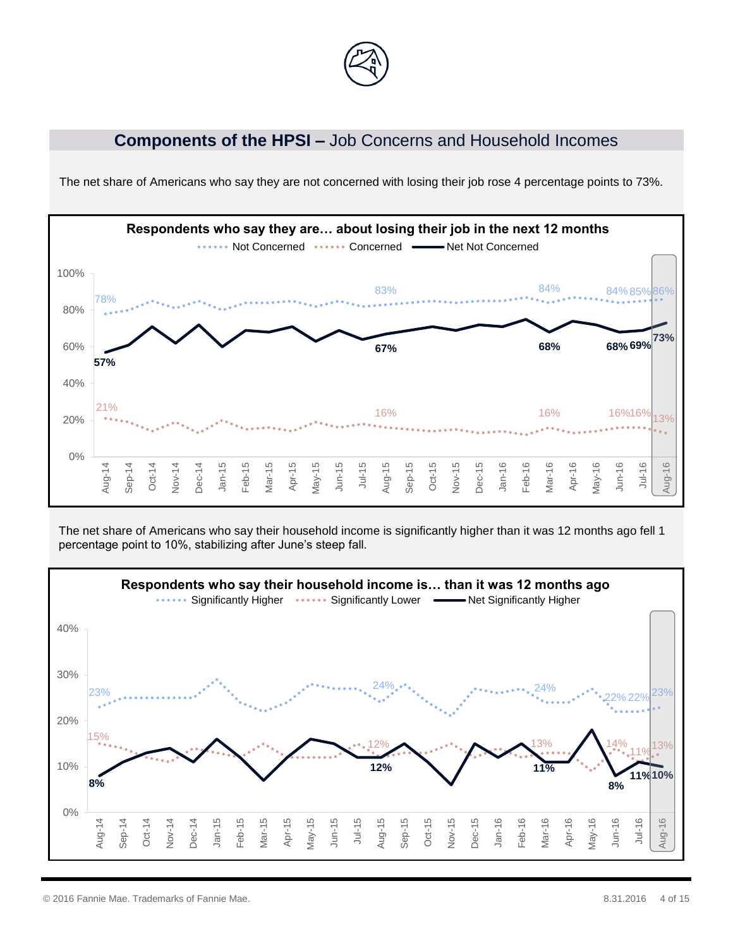

#### **Components of the HPSI –** Job Concerns and Household Incomes



The net share of Americans who say they are not concerned with losing their job rose 4 percentage points to 73%.

The net share of Americans who say their household income is significantly higher than it was 12 months ago fell 1 percentage point to 10%, stabilizing after June's steep fall.

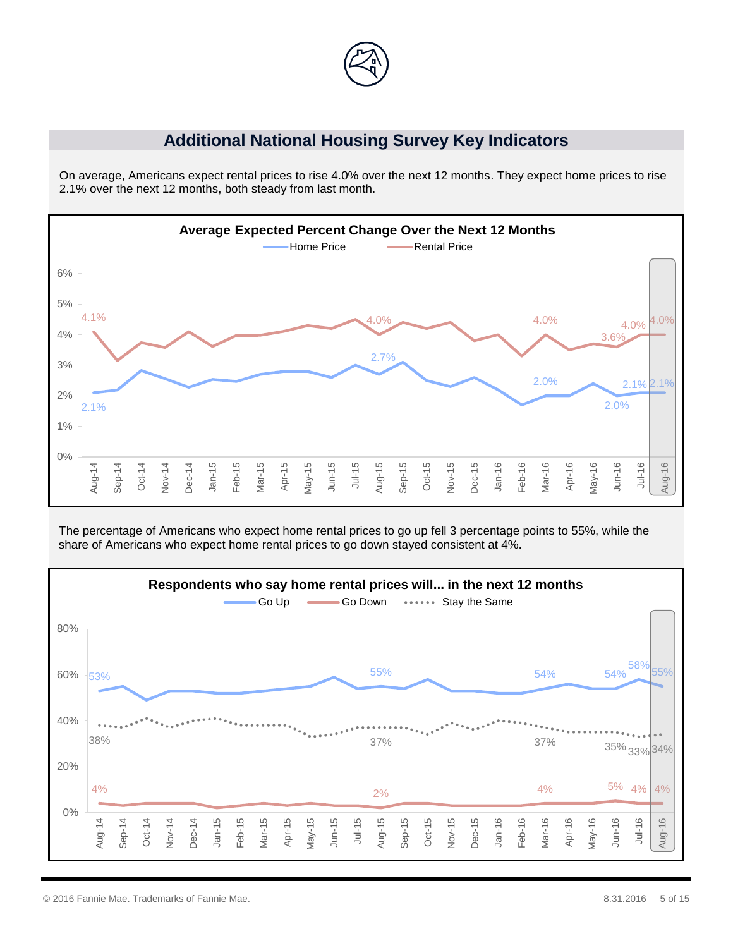

#### **Additional National Housing Survey Key Indicators**

On average, Americans expect rental prices to rise 4.0% over the next 12 months. They expect home prices to rise 2.1% over the next 12 months, both steady from last month.



The percentage of Americans who expect home rental prices to go up fell 3 percentage points to 55%, while the share of Americans who expect home rental prices to go down stayed consistent at 4%.

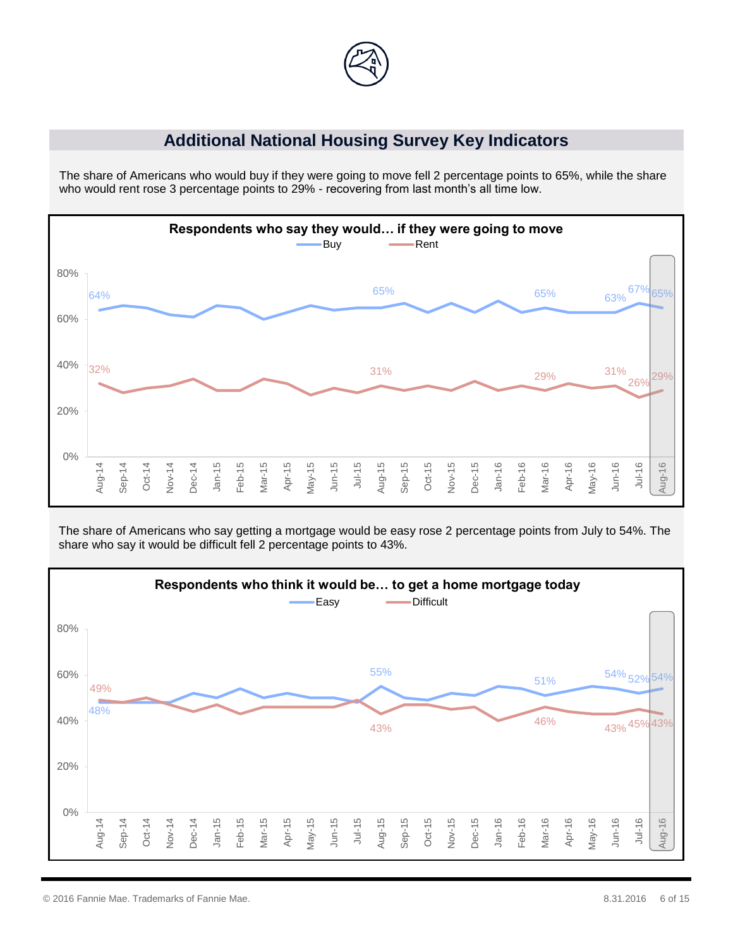

#### **Additional National Housing Survey Key Indicators**

The share of Americans who would buy if they were going to move fell 2 percentage points to 65%, while the share who would rent rose 3 percentage points to 29% - recovering from last month's all time low.



The share of Americans who say getting a mortgage would be easy rose 2 percentage points from July to 54%. The share who say it would be difficult fell 2 percentage points to 43%.

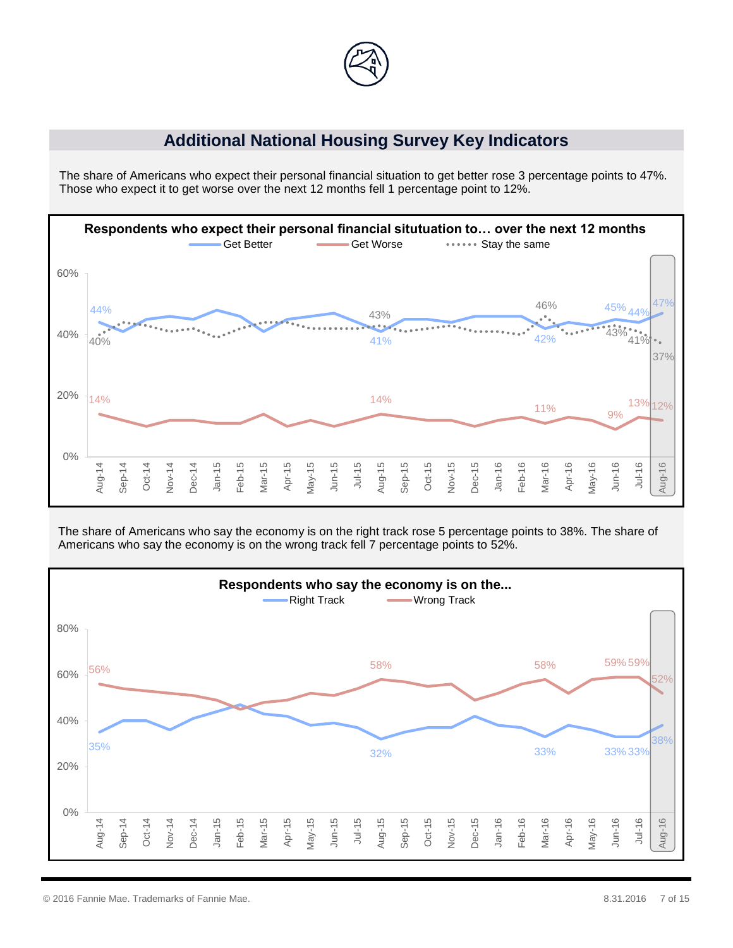

#### **Additional National Housing Survey Key Indicators**

The share of Americans who expect their personal financial situation to get better rose 3 percentage points to 47%. Those who expect it to get worse over the next 12 months fell 1 percentage point to 12%.



The share of Americans who say the economy is on the right track rose 5 percentage points to 38%. The share of Americans who say the economy is on the wrong track fell 7 percentage points to 52%.

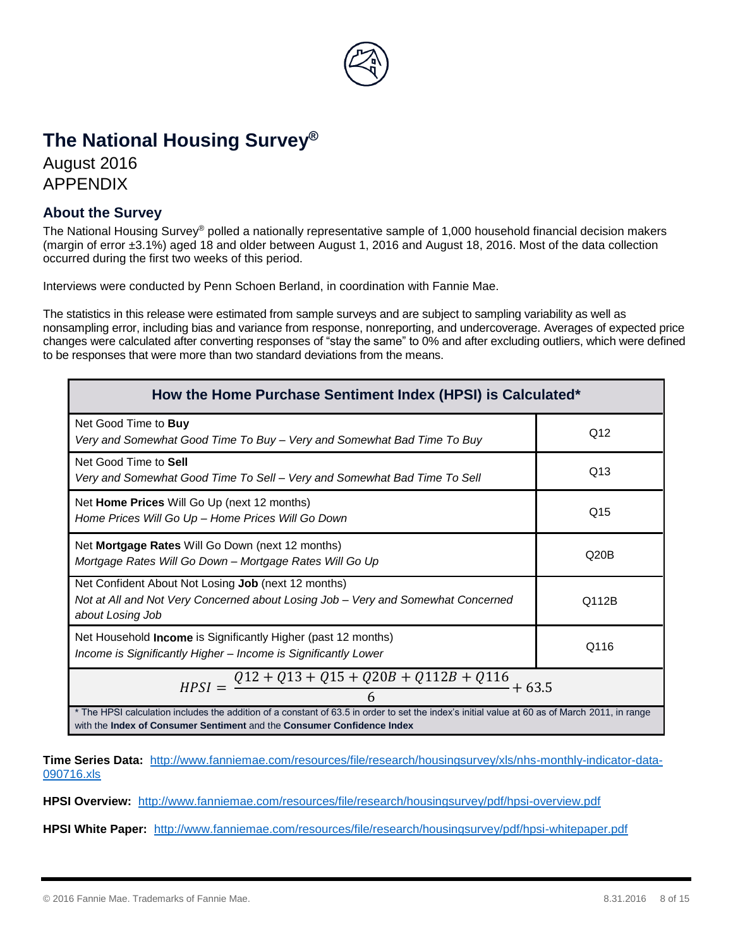

# **The National Housing Survey®**

August 2016 APPENDIX

#### **About the Survey**

The National Housing Survey® polled a nationally representative sample of 1,000 household financial decision makers (margin of error ±3.1%) aged 18 and older between August 1, 2016 and August 18, 2016. Most of the data collection occurred during the first two weeks of this period.

Interviews were conducted by Penn Schoen Berland, in coordination with Fannie Mae.

The statistics in this release were estimated from sample surveys and are subject to sampling variability as well as nonsampling error, including bias and variance from response, nonreporting, and undercoverage. Averages of expected price changes were calculated after converting responses of "stay the same" to 0% and after excluding outliers, which were defined to be responses that were more than two standard deviations from the means.

| How the Home Purchase Sentiment Index (HPSI) is Calculated*                                                                                                                                                             |       |  |  |
|-------------------------------------------------------------------------------------------------------------------------------------------------------------------------------------------------------------------------|-------|--|--|
| Net Good Time to Buy<br>Very and Somewhat Good Time To Buy - Very and Somewhat Bad Time To Buy                                                                                                                          | Q12   |  |  |
| Net Good Time to Sell<br>Very and Somewhat Good Time To Sell - Very and Somewhat Bad Time To Sell                                                                                                                       | Q13   |  |  |
| Net Home Prices Will Go Up (next 12 months)<br>Home Prices Will Go Up - Home Prices Will Go Down                                                                                                                        | Q15   |  |  |
| Net <b>Mortgage Rates</b> Will Go Down (next 12 months)<br>Mortgage Rates Will Go Down - Mortgage Rates Will Go Up                                                                                                      | Q20B  |  |  |
| Net Confident About Not Losing Job (next 12 months)<br>Not at All and Not Very Concerned about Losing Job – Very and Somewhat Concerned<br>about Losing Job                                                             | Q112B |  |  |
| Net Household Income is Significantly Higher (past 12 months)<br>Income is Significantly Higher - Income is Significantly Lower                                                                                         | Q116  |  |  |
| $HPSI = \frac{Q12 + Q13 + Q15 + Q20B + Q112B + Q116}{4}$<br>$+63.5$                                                                                                                                                     |       |  |  |
| * The HPSI calculation includes the addition of a constant of 63.5 in order to set the index's initial value at 60 as of March 2011, in range<br>with the Index of Consumer Sentiment and the Consumer Confidence Index |       |  |  |

**Time Series Data:** [http://www.fanniemae.com/resources/file/research/housingsurvey/xls/nhs-monthly-indicator-data-](http://www.fanniemae.com/resources/file/research/housingsurvey/xls/nhs-monthly-indicator-data-090716.xls)[090716.xls](http://www.fanniemae.com/resources/file/research/housingsurvey/xls/nhs-monthly-indicator-data-090716.xls)

**HPSI Overview:** <http://www.fanniemae.com/resources/file/research/housingsurvey/pdf/hpsi-overview.pdf>

**HPSI White Paper:** <http://www.fanniemae.com/resources/file/research/housingsurvey/pdf/hpsi-whitepaper.pdf>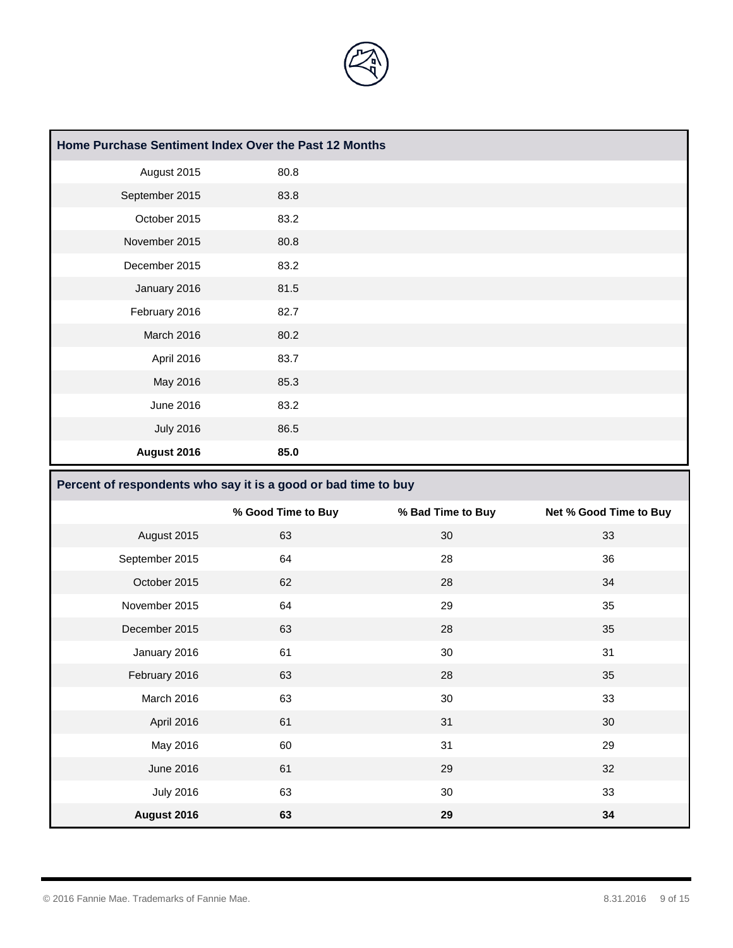

| Home Purchase Sentiment Index Over the Past 12 Months |      |  |
|-------------------------------------------------------|------|--|
| August 2015                                           | 80.8 |  |
| September 2015                                        | 83.8 |  |
| October 2015                                          | 83.2 |  |
| November 2015                                         | 80.8 |  |
| December 2015                                         | 83.2 |  |
| January 2016                                          | 81.5 |  |
| February 2016                                         | 82.7 |  |
| March 2016                                            | 80.2 |  |
| April 2016                                            | 83.7 |  |
| May 2016                                              | 85.3 |  |
| June 2016                                             | 83.2 |  |
| <b>July 2016</b>                                      | 86.5 |  |
| August 2016                                           | 85.0 |  |

#### **Percent of respondents who say it is a good or bad time to buy**

|                  | % Good Time to Buy | % Bad Time to Buy | Net % Good Time to Buy |
|------------------|--------------------|-------------------|------------------------|
| August 2015      | 63                 | 30                | 33                     |
| September 2015   | 64                 | 28                | 36                     |
| October 2015     | 62                 | 28                | 34                     |
| November 2015    | 64                 | 29                | 35                     |
| December 2015    | 63                 | 28                | 35                     |
| January 2016     | 61                 | 30                | 31                     |
| February 2016    | 63                 | 28                | 35                     |
| March 2016       | 63                 | 30                | 33                     |
| April 2016       | 61                 | 31                | 30                     |
| May 2016         | 60                 | 31                | 29                     |
| June 2016        | 61                 | 29                | 32                     |
| <b>July 2016</b> | 63                 | 30                | 33                     |
| August 2016      | 63                 | 29                | 34                     |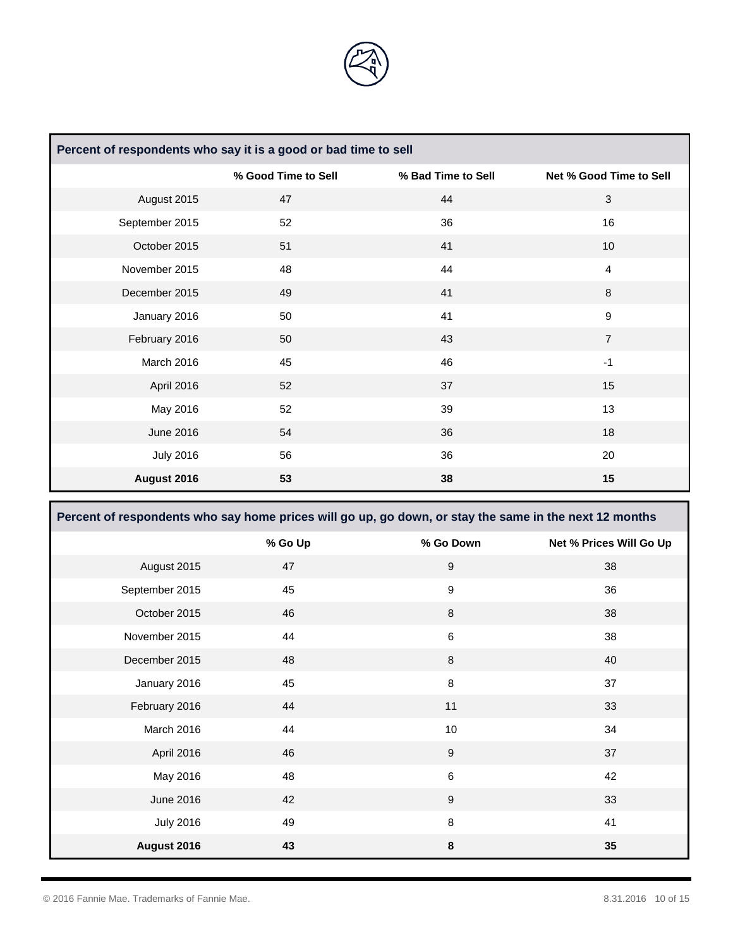

| Percent of respondents who say it is a good or bad time to sell |                     |                    |                         |
|-----------------------------------------------------------------|---------------------|--------------------|-------------------------|
|                                                                 | % Good Time to Sell | % Bad Time to Sell | Net % Good Time to Sell |
| August 2015                                                     | 47                  | 44                 | $\mathbf{3}$            |
| September 2015                                                  | 52                  | 36                 | 16                      |
| October 2015                                                    | 51                  | 41                 | 10                      |
| November 2015                                                   | 48                  | 44                 | $\overline{4}$          |
| December 2015                                                   | 49                  | 41                 | 8                       |
| January 2016                                                    | 50                  | 41                 | $\boldsymbol{9}$        |
| February 2016                                                   | 50                  | 43                 | $\overline{7}$          |
| March 2016                                                      | 45                  | 46                 | $-1$                    |
| April 2016                                                      | 52                  | 37                 | 15                      |
| May 2016                                                        | 52                  | 39                 | 13                      |
| June 2016                                                       | 54                  | 36                 | 18                      |
| <b>July 2016</b>                                                | 56                  | 36                 | 20                      |
| August 2016                                                     | 53                  | 38                 | 15                      |

| Percent of respondents who say home prices will go up, go down, or stay the same in the next 12 months |         |             |                         |
|--------------------------------------------------------------------------------------------------------|---------|-------------|-------------------------|
|                                                                                                        | % Go Up | % Go Down   | Net % Prices Will Go Up |
| August 2015                                                                                            | 47      | 9           | 38                      |
| September 2015                                                                                         | 45      | 9           | 36                      |
| October 2015                                                                                           | 46      | $\,8\,$     | 38                      |
| November 2015                                                                                          | 44      | 6           | 38                      |
| December 2015                                                                                          | 48      | 8           | 40                      |
| January 2016                                                                                           | 45      | 8           | 37                      |
| February 2016                                                                                          | 44      | 11          | 33                      |
| March 2016                                                                                             | 44      | 10          | 34                      |
| April 2016                                                                                             | 46      | $\mathsf g$ | 37                      |
| May 2016                                                                                               | 48      | $\,6\,$     | 42                      |
| June 2016                                                                                              | 42      | 9           | 33                      |
| <b>July 2016</b>                                                                                       | 49      | 8           | 41                      |
| August 2016                                                                                            | 43      | 8           | 35                      |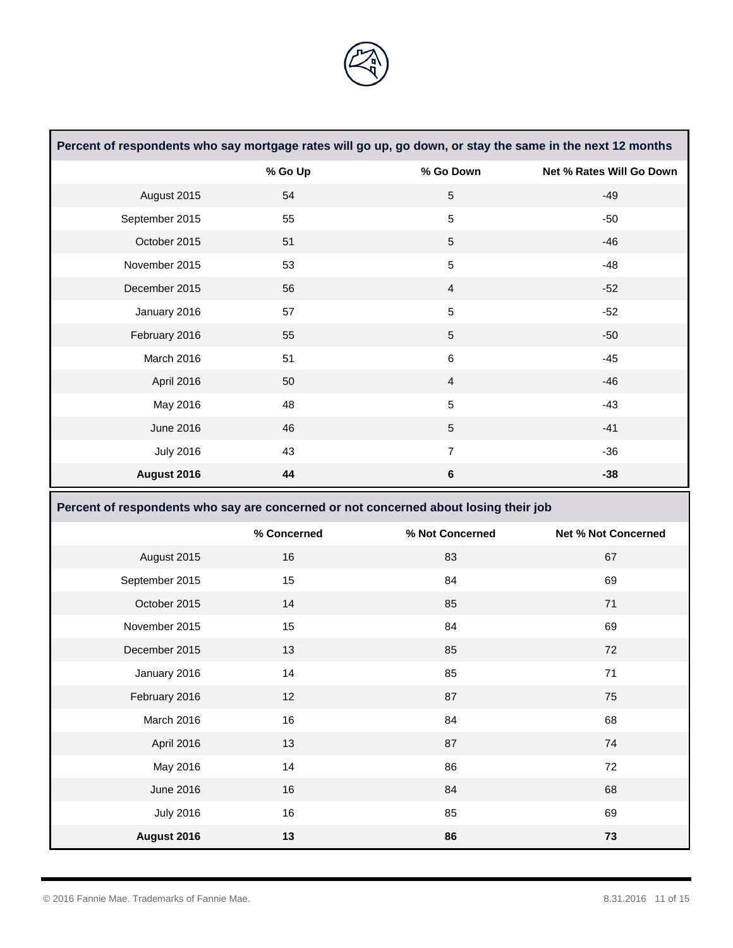

|                  |                                                                                      | Percent of respondents who say mortgage rates will go up, go down, or stay the same in the next 12 months |                            |
|------------------|--------------------------------------------------------------------------------------|-----------------------------------------------------------------------------------------------------------|----------------------------|
|                  | % Go Up                                                                              | % Go Down                                                                                                 | Net % Rates Will Go Down   |
| August 2015      | 54                                                                                   | $\overline{5}$                                                                                            | $-49$                      |
| September 2015   | 55                                                                                   | $\sqrt{5}$                                                                                                | $-50$                      |
| October 2015     | 51                                                                                   | $5\,$                                                                                                     | $-46$                      |
| November 2015    | 53                                                                                   | $\sqrt{5}$                                                                                                | $-48$                      |
| December 2015    | 56                                                                                   | $\overline{4}$                                                                                            | $-52$                      |
| January 2016     | 57                                                                                   | $5\,$                                                                                                     | $-52$                      |
| February 2016    | 55                                                                                   | $\sqrt{5}$                                                                                                | $-50$                      |
| March 2016       | 51                                                                                   | $\,6$                                                                                                     | $-45$                      |
| April 2016       | 50                                                                                   | $\overline{4}$                                                                                            | $-46$                      |
| May 2016         | 48                                                                                   | $5\,$                                                                                                     | $-43$                      |
| June 2016        | 46                                                                                   | $5\phantom{.0}$                                                                                           | $-41$                      |
| <b>July 2016</b> | 43                                                                                   | $\overline{7}$                                                                                            | $-36$                      |
| August 2016      | 44                                                                                   | $\bf 6$                                                                                                   | $-38$                      |
|                  | Percent of respondents who say are concerned or not concerned about losing their job |                                                                                                           |                            |
|                  |                                                                                      |                                                                                                           |                            |
|                  | % Concerned                                                                          | % Not Concerned                                                                                           | <b>Net % Not Concerned</b> |
| August 2015      | 16                                                                                   | 83                                                                                                        | 67                         |
| September 2015   | 15                                                                                   | 84                                                                                                        | 69                         |
| October 2015     | 14                                                                                   | 85                                                                                                        | 71                         |
| November 2015    | 15                                                                                   | 84                                                                                                        | 69                         |
| December 2015    | 13                                                                                   | 85                                                                                                        | 72                         |
| January 2016     | 14                                                                                   | 85                                                                                                        | 71                         |
| February 2016    | 12                                                                                   | 87                                                                                                        | 75                         |
| March 2016       | 16                                                                                   | 84                                                                                                        | 68                         |
| April 2016       | 13                                                                                   | 87                                                                                                        | $74\,$                     |
| May 2016         | 14                                                                                   | 86                                                                                                        | $72\,$                     |
| <b>June 2016</b> | 16                                                                                   | 84                                                                                                        | 68                         |
| <b>July 2016</b> | $16\,$                                                                               | 85                                                                                                        | 69                         |

 $\Box$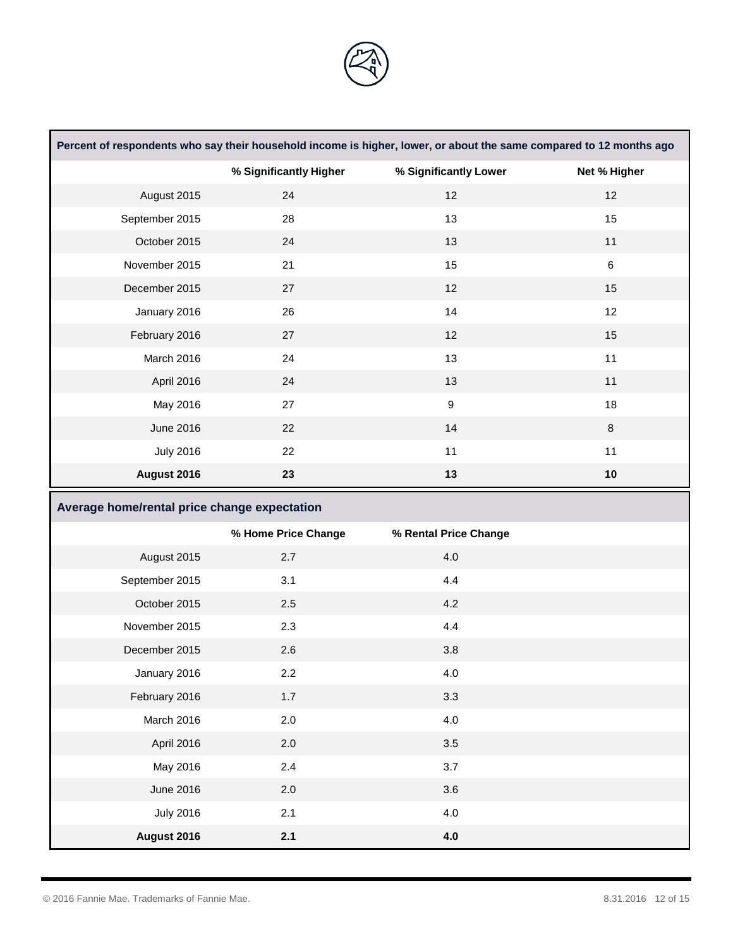

|                                              |                        | Percent of respondents who say their household income is higher, lower, or about the same compared to 12 months ago |              |
|----------------------------------------------|------------------------|---------------------------------------------------------------------------------------------------------------------|--------------|
|                                              | % Significantly Higher | % Significantly Lower                                                                                               | Net % Higher |
| August 2015                                  | 24                     | 12                                                                                                                  | 12           |
| September 2015                               | 28                     | 13                                                                                                                  | 15           |
| October 2015                                 | 24                     | 13                                                                                                                  | 11           |
| November 2015                                | 21                     | 15                                                                                                                  | 6            |
| December 2015                                | 27                     | 12                                                                                                                  | 15           |
| January 2016                                 | 26                     | 14                                                                                                                  | 12           |
| February 2016                                | 27                     | 12                                                                                                                  | 15           |
| March 2016                                   | 24                     | 13                                                                                                                  | 11           |
| April 2016                                   | 24                     | 13                                                                                                                  | 11           |
| May 2016                                     | 27                     | $\boldsymbol{9}$                                                                                                    | 18           |
| <b>June 2016</b>                             | 22                     | 14                                                                                                                  | $\bf 8$      |
| <b>July 2016</b>                             | 22                     | 11                                                                                                                  | 11           |
| August 2016                                  | 23                     | 13                                                                                                                  | 10           |
|                                              |                        |                                                                                                                     |              |
| Average home/rental price change expectation |                        |                                                                                                                     |              |
|                                              | % Home Price Change    | % Rental Price Change                                                                                               |              |
| August 2015                                  | 2.7                    | 4.0                                                                                                                 |              |
| September 2015                               | 3.1                    | 4.4                                                                                                                 |              |
| October 2015                                 | 2.5                    | 4.2                                                                                                                 |              |
| November 2015                                | 2.3                    | 4.4                                                                                                                 |              |
| December 2015                                | 2.6                    | 3.8                                                                                                                 |              |
| January 2016                                 | $2.2\,$                | 4.0                                                                                                                 |              |
| February 2016                                | 1.7                    | 3.3                                                                                                                 |              |
| March 2016                                   | 2.0                    | $4.0\,$                                                                                                             |              |
| April 2016                                   | 2.0                    | 3.5                                                                                                                 |              |
| May 2016                                     | 2.4                    | 3.7                                                                                                                 |              |
| <b>June 2016</b>                             | 2.0                    | 3.6                                                                                                                 |              |
| <b>July 2016</b>                             | 2.1                    | $4.0\,$                                                                                                             |              |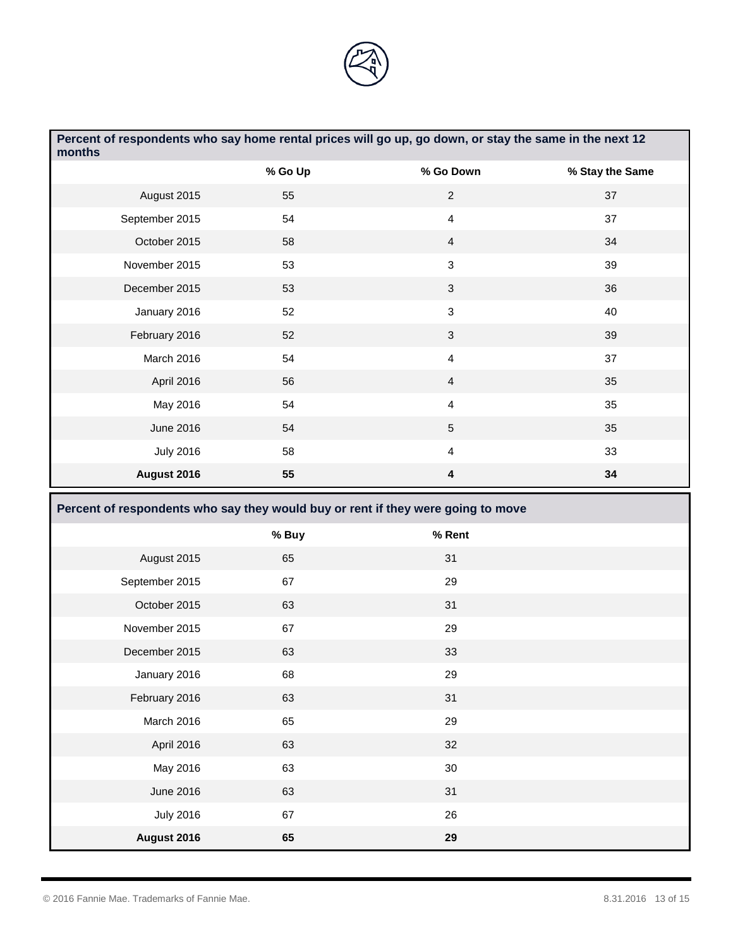

| months           | Percent of respondents who say home rental prices will go up, go down, or stay the same in the next 12 |                         |                 |
|------------------|--------------------------------------------------------------------------------------------------------|-------------------------|-----------------|
|                  | % Go Up                                                                                                | % Go Down               | % Stay the Same |
| August 2015      | 55                                                                                                     | $\sqrt{2}$              | 37              |
| September 2015   | 54                                                                                                     | $\overline{\mathbf{4}}$ | 37              |
| October 2015     | 58                                                                                                     | $\overline{4}$          | 34              |
| November 2015    | 53                                                                                                     | 3                       | 39              |
| December 2015    | 53                                                                                                     | $\mathbf{3}$            | 36              |
| January 2016     | 52                                                                                                     | $\mathfrak{S}$          | 40              |
| February 2016    | 52                                                                                                     | 3                       | 39              |
| March 2016       | 54                                                                                                     | $\overline{\mathbf{4}}$ | 37              |
| April 2016       | 56                                                                                                     | $\overline{4}$          | 35              |
| May 2016         | 54                                                                                                     | $\overline{4}$          | 35              |
| June 2016        | 54                                                                                                     | 5                       | 35              |
| <b>July 2016</b> | 58                                                                                                     | $\overline{\mathbf{4}}$ | 33              |
| August 2016      | 55                                                                                                     | 4                       | 34              |
|                  |                                                                                                        |                         |                 |
|                  | Percent of respondents who say they would buy or rent if they were going to move                       |                         |                 |
|                  | % Buy                                                                                                  | % Rent                  |                 |
| August 2015      | 65                                                                                                     | 31                      |                 |
| September 2015   | 67                                                                                                     | 29                      |                 |
| October 2015     | 63                                                                                                     | 31                      |                 |
| November 2015    | 67                                                                                                     | 29                      |                 |
| December 2015    | 63                                                                                                     | 33                      |                 |
| January 2016     | 68                                                                                                     | 29                      |                 |
| February 2016    | 63                                                                                                     | 31                      |                 |
| March 2016       | 65                                                                                                     | 29                      |                 |
| April 2016       | 63                                                                                                     | 32                      |                 |
| May 2016         | 63                                                                                                     | 30                      |                 |
| <b>June 2016</b> | 63                                                                                                     | 31                      |                 |
| <b>July 2016</b> | 67                                                                                                     | 26                      |                 |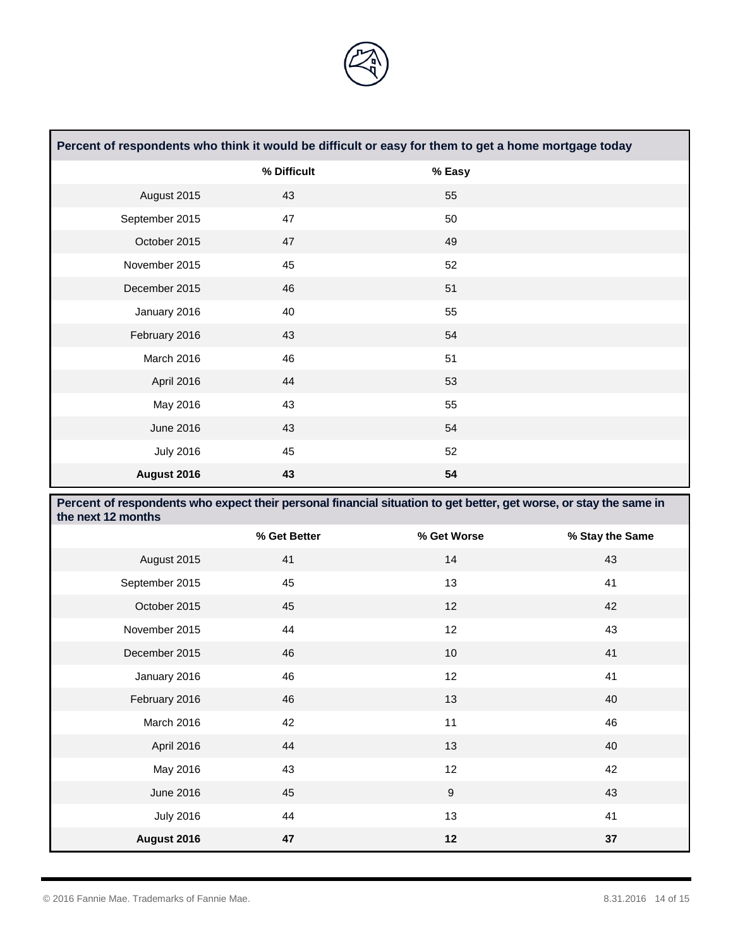

| Percent of respondents who think it would be difficult or easy for them to get a home mortgage today |             |        |  |
|------------------------------------------------------------------------------------------------------|-------------|--------|--|
|                                                                                                      | % Difficult | % Easy |  |
| August 2015                                                                                          | 43          | 55     |  |
| September 2015                                                                                       | 47          | 50     |  |
| October 2015                                                                                         | 47          | 49     |  |
| November 2015                                                                                        | 45          | 52     |  |
| December 2015                                                                                        | 46          | 51     |  |
| January 2016                                                                                         | 40          | 55     |  |
| February 2016                                                                                        | 43          | 54     |  |
| March 2016                                                                                           | 46          | 51     |  |
| April 2016                                                                                           | 44          | 53     |  |
| May 2016                                                                                             | 43          | 55     |  |
| June 2016                                                                                            | 43          | 54     |  |
| <b>July 2016</b>                                                                                     | 45          | 52     |  |
| August 2016                                                                                          | 43          | 54     |  |

| Percent of respondents who expect their personal financial situation to get better, get worse, or stay the same in<br>the next 12 months |              |             |                 |
|------------------------------------------------------------------------------------------------------------------------------------------|--------------|-------------|-----------------|
|                                                                                                                                          | % Get Better | % Get Worse | % Stay the Same |
| August 2015                                                                                                                              | 41           | 14          | 43              |
| September 2015                                                                                                                           | 45           | 13          | 41              |
| October 2015                                                                                                                             | 45           | 12          | 42              |
| November 2015                                                                                                                            | 44           | 12          | 43              |
| December 2015                                                                                                                            | 46           | 10          | 41              |
| January 2016                                                                                                                             | 46           | 12          | 41              |
| February 2016                                                                                                                            | 46           | 13          | 40              |
| March 2016                                                                                                                               | 42           | 11          | 46              |
| April 2016                                                                                                                               | 44           | 13          | 40              |
| May 2016                                                                                                                                 | 43           | 12          | 42              |
| June 2016                                                                                                                                | 45           | 9           | 43              |
| <b>July 2016</b>                                                                                                                         | 44           | 13          | 41              |
| August 2016                                                                                                                              | 47           | 12          | 37              |